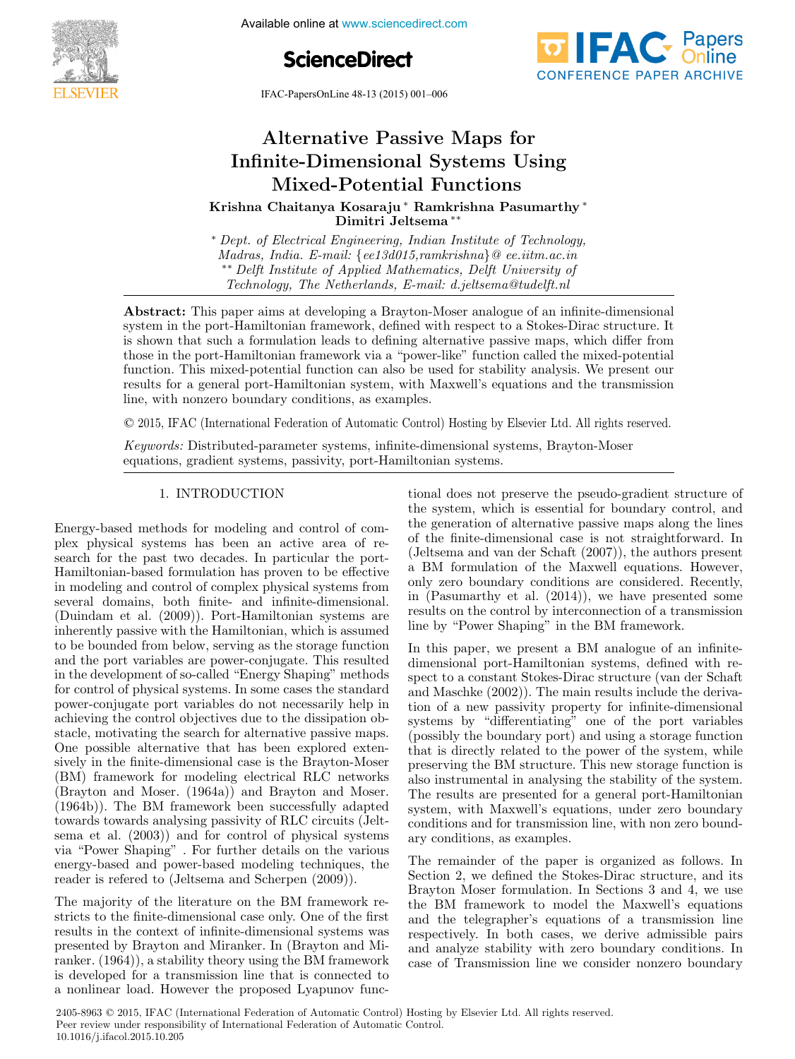

**5th IFAC Multiple online at www.sciencedirect.com** 

**ScienceDirect**





# Alternative Passive Maps for Infinite-Dimensional Systems Using Mixed-Potential Functions Infinite-Dimensional Systems Using Mixed-Potential Functions Mixed-Potential Functions Mixed-Potential Functions Alternative Passive Maps for Mixed-Potential Functions

Krishna Chaitanya Kosaraju ∗ Ramkrishna Pasumarthy ∗ Dimitri Jeltsema ∗∗ Krishna Chaitanya Kosaraju ∗ Ramkrishna Pasumarthy ∗ Dimitri Jeltsema ∗∗ Krishna Chaitanya Kosaraju ∗ Ramkrishna Pasumarthy ∗ Dimitri Jeltsema ∗∗ Krishna Chaitanya Kosaraju <sup>∗</sup> Ramkrishna Pasumarthy <sup>∗</sup>

*Dept. of Electrical Engineering, Indian Institute of Technology,*<br>Madras, India. E-mail: {ee13d015,ramkrishna}@ ee.iitm.ac.in Madras, India. E-mail: {ee13d015,ramkrishna} @ ee.iitm.ac.in<br>\*\* Delft Institute of Applied Mathematics, Delft University of<br>Technology. The Netherlands. E-mail: d.jeltsema@tudelft.nl  $\frac{1}{\sqrt{1-\frac{1}{\sqrt{1-\frac{1}{\sqrt{1-\frac{1}{\sqrt{1-\frac{1}{\sqrt{1-\frac{1}{\sqrt{1-\frac{1}{\sqrt{1-\frac{1}{\sqrt{1-\frac{1}{\sqrt{1-\frac{1}{\sqrt{1-\frac{1}{\sqrt{1-\frac{1}{\sqrt{1-\frac{1}{\sqrt{1-\frac{1}{\sqrt{1-\frac{1}{\sqrt{1-\frac{1}{\sqrt{1-\frac{1}{\sqrt{1-\frac{1}{\sqrt{1-\frac{1}{\sqrt{1-\frac{1}{\sqrt{1-\frac{1}{\sqrt{1-\frac{1}{\sqrt{1-\frac{1}{\sqrt{1-\frac{1}{\sqrt{1-\frac{1$ Dimitri Jeltsema ∗∗ ∗ Dept. of Electrical Engineering, Indian Institute of Technology, ∗ Dept. of Electrical Engineering, Indian Institute of Technology, ∗ Dept. of Electrical Engineering, Indian Institute of Technology, Technology, The Netherlands, E-mail: d.jeltsema@tudelft.nl

 $\frac{1}{2}$  system in the port-Hamiltonian framework, defined with respect to a Stokes-Dirac structure. It is abound that such a formulation load to defining alternative position management is defining a structure. s shown that such a formulation framework of defining attential very massive images of  $\epsilon$  and  $\epsilon$  and  $\epsilon$  and  $\epsilon$  and  $\epsilon$  and  $\epsilon$  and  $\epsilon$  and  $\epsilon$  and  $\epsilon$  and  $\epsilon$  and  $\epsilon$  and  $\epsilon$  and  $\epsilon$  and  $\epsilon$  and  $\epsilon$  and is shown the potential map in alternation leads to definite matricellity and which different constant  $\epsilon$ the interval  $\tau$  in the procedure  $H$ amiltonian framework via a  $\tau$  and  $\tau$  and  $\tau$  and  $\tau$  is the mixed-potential the mixed-potential the mixed-potential the mixed-potential the mixed-potential the mixed-potential t results for a general port-Hamiltonian system, with Maxwell's equations and the transmission line, with nonzero boundary conditions, as examples. Abstract: This paper aims at developing a Brayton-Moser analogue of an infinite-dimensional is shown that such a formulation leads to defining alternative passive maps, which differ from those in the port-Hamiltonian framework via a "power-like" function called the mixed-potential function. This mixed-potential function can also be used for stability analysis. We present our line, with nonzero boundary conditions, as examples.

© 2015, IFAC (International Federation of Automatic Control) Hosting by Elsevier Ltd. All rights reserved. line, with nonzero boundary conditions, as examples.  $\sim$  2010, If the (informational f ederation of Hatomatic Control) Hosting by Elsevice Bratt Hatomatic

Keywords: Distributed-parameter systems, infinite-dimensional systems, Brayton-Moser equations, gradient systems, passivity, port-Hamiltonian systems. Keywords: Distributed-parameter systems, infinite-dimensional systems, Brayton-Moser

#### 1. INTRODUCTION equations, gradient systems, passivity, port-Hamiltonian systems. 1. INTRODUCTION 1. INTRODUCTION

Energy-based methods for modeling and control of com-search for the past two decades. In particular the port-plex physical systems has been an active area of re-plex physical systems has been an active area of replex physical systems has been an active area of re-<br>search for the past two decades. In particular the port-Search for the past two decades. In particular the port-<br>Hamiltonian-based formulation has proven to be effective Hamiltonian-based formulation has proven to be effective<br>in modeling and control of complex physical systems from in modeling and control of complex physical systems from several domains, both finite- and immediately<br>(Duindem et al. (2000)). Pert Hamiltonian systems are (Duindam et al. (2009)). Port-Hamiltonian systems are to be bounded from below, serving as the storage function to be bounded from below, serving as the storage function<br>and the port variables are power-conjugate. This resulted and the port variables are power-conjugate. This resulted<br>in the development of so-called "Energy Shaping" methods in the development of so-called "Energy Shaping" methods<br>for control of physical systems. In some coses the standard for control of physical systems. In some cases the standard power-conjugate port variables do not necessarily help in achieving the control objectives due to the dissipation ob-One possible alternative that has been explored exten-One possible attendance that has been explored extensively in the finite-dimensional case is the Brayton-Moser sively in the finite-dimensional case is the Brayton-Moser<br>(DM) fee possible for modeling electrical DLC permedia (BM) framework for modeling electrical RLC networks  $(Br\alpha y\omega n\text{ and most.} (1964a))$  and Brayton and Moser. (1964b)). The BM framework been successfully adapted towards towards analysing passivity of RLC circuits (Jeltsema et al. (2003)) and for control of physical systems via Tower Shaping". For further details on the various energy-based and power-based modeling techniques, the reader is refered to (Jertsema and Scherpen (2009)). in modeling and control of complex physical systems from several domains, both finite- and infinite-dimensional.<br>(Duindam et al. (2009)). Port-Hamiltonian systems are (Duindam et al. (2009)). Port-Hamiltonian systems are<br> $\frac{1}{2}$ inherently passive with the Hamiltonian, which is assumed for control of physical systems. In some cases the standard power-conjugate port variables do not necessarily help in achieving the control objectives due to the dissipation obstacle, motivating the search for alternative passive maps.  $(BM)$  framework for modeling electrical RLC networks  $(Brayton and Moser. (1964a))$  and Brayton and Moser.  $(1964b)$ . The BM framework been successfully adapted  $(1964b)$ . towards towards analysing passivity of RLC circuits (Jeltsema et al.  $(2003)$  and for control of physical systems via "Power Shaping" . For further details on the various  $v_0$  and power-based modeling techniques, the sema et al. (2003)) and for control of physical systems<br>via "Power Shaping". For further details on the various<br>energy-based and power-based modeling techniques, the Energy-based methods for modeling and control of comreader is refered to (Jeltsema and Scherpen (2009)). reader is refered to (Jeltsema and Scherpen (2009)).

The majority of the meridian on the BM framework restricts to the finite-dimensional case only. One of the first<br>results in the context of infinite dimensional systems west results in the context of infinite-dimensional systems was<br>presented by Brayton and Miranker. In (Brayton and Mi presented by Brayton and Mirainer. in (Brayton and Mi-<br>ranker. (1964)), a stability theory using the BM framework ranker. (1904)), a stability theory using the BM framework<br>is developed for a transmission line that is connected to is developed for a transmission line that is connected to a nonlinear load. However the proposed Lyapunov func-The majority of the literature on the BM framework restricts to the finite-dimensional case only. One of the first<br>negative in the context of infinite-dimensional systems was stricts to the finite-dimensional case only. One of the first<br>results in the context of infinite-dimensional systems was<br>magnetical by Bandara and Minardan In (Bandara and Mi presented by Brayton and Miranker. In (Brayton and Mi is developed for a transmission line that is connected to

 $\frac{1}{2}$  . The contract of  $\frac{1}{2}$  **1**  $\frac{1}{2}$  **1**  $\frac{1}{2}$  **1**  $\frac{1}{2}$  **1**  $\frac{1}{2}$  **1**  $\frac{1}{2}$  **1**  $\frac{1}{2}$  **1**  $\frac{1}{2}$  **1**  $\frac{1}{2}$  **1**  $\frac{1}{2}$  **1**  $\frac{1}{2}$  **1**  $\frac{1}{2}$  **1**  $\frac{1}{2}$  **1**  $\frac{1}{2}$  **1** 

the system, which is essential for boundary control, and the system, which is essential for boundary control, and<br>the conception of elternative passive mans elengthe lines the generation of alternative passive maps along the lines of the finite-dimensional case is not straightforward. In (Jeltsema and van der Schaft (2007)), the authors present a BM formulation of the Maxwell equations. However, only zero boundary conditions are considered. Recently, only zero boundary conditions are considered. Recently,<br>in (Pasumarthy et al. (2014)), we have presented some In (Fasumatury et al.  $(2014)$ ), we have presented some results on the control by interconnection of a transmission results on the control by interconnection of a transmission<br>line by "Dower Shaping" in the RM framework line by "Power Shaping" in the BM framework. the generation of alternative passive maps along the lines of the finite-dimensional case is not straightforward. In  $(1)$ (Jeltsema and van der Schaft  $(2007)$ ), the authors present a BM formulation of the Maxwell equations. However, only zero boundary conditions are considered. Recently, resurts on the control by interconnection of a transmission<br>line les "Dessen Clearing", in the DM framework inne by tower shaping in the DM framework. tional does not preserve the pseudo-gradient structure of line by "Power Shaping" in the BM framework. line by "Power Shaping" in the BM framework.

In this paper, we present a BM analogue of an infinite-<br>dimensional port-Hamiltonian systems, defined with redimensional port-riammonian systems, defined with re-<br>spect to a constant Stokes-Dirac structure (van der Schaft spect to a constant Stokes-Dirac structure (van der Schaft<br>and Magable (2002)). The main regults include the derive and Maschke (2002)). The main results include the deriva-<br>tion of a new passivity property for infinite-dimensional tion of a new passivity property for infinite-dimensional<br>arcteris by "differentiating" and of the next results systems by ennerchating one of the port variables (possibly the boundary port) and using a storage function preserving the BM structure. This new storage function is preserving the BM structure. This new storage function is<br>also instrumental in analysing the stability of the system. also instrumental in analysing the stability of the system.<br>The results are presented for a general port-Hamiltonian The results are presented for a general port-Hamiltonian system, with Maxwell's equations, under zero boundary conditions and for transmission line, with non zero bound-<br>ary conditions as examples ary conditions, as examples. In this paper, we present a BM analogue of an infiniteand Maschke  $(2002)$ ). The main results include the derivasystems by "differentiating" one of the port variables (possibly the boundary port) and using a storage function that is directly related to the power of the system, while system, with Maxwell's equations, under zero boundary<br>system, with Maxwell's equations, under zero boundary  $T_{\text{ref}}$  conditions, as examples.

The remainder of the paper is organized as follows. In<br>Section 2, we defined the Stokes-Dirac structure, and its Section 2, we defined the Stokes-Dirac structure, and its<br>Brayton Mosor formulation In Sections 3 and 4, we use Brayton Moser formulation. In Sections 3 and 4, we use the BM framework to model the Maxwell's equations and the telegrapher's equations of a transmission line respectively. In both cases, we derive admissible pairs and analyze stability with zero boundary conditions. In and analyze stability with zero boundary conditions. In case of Transmission line we consider nonzero boundary The remainder of the paper is organized as follows. In Brayton Moser formulation. In Sections 3 and 4, we use the BM framework to model the Maxwell's equations and the telegrapher's equations of a transmission line respectively. In both cases, we derive admissible pairs and analyze stability with zero boundary conditions. In Section 2, we defined the Stokes-Dirac structure, and its<br>Brayton Moser formulation. In Sections 3 and 4, we use<br>the BM framework to model the Maxwell's equations<br>and the telegrapher's equations of a transmission line<br>resp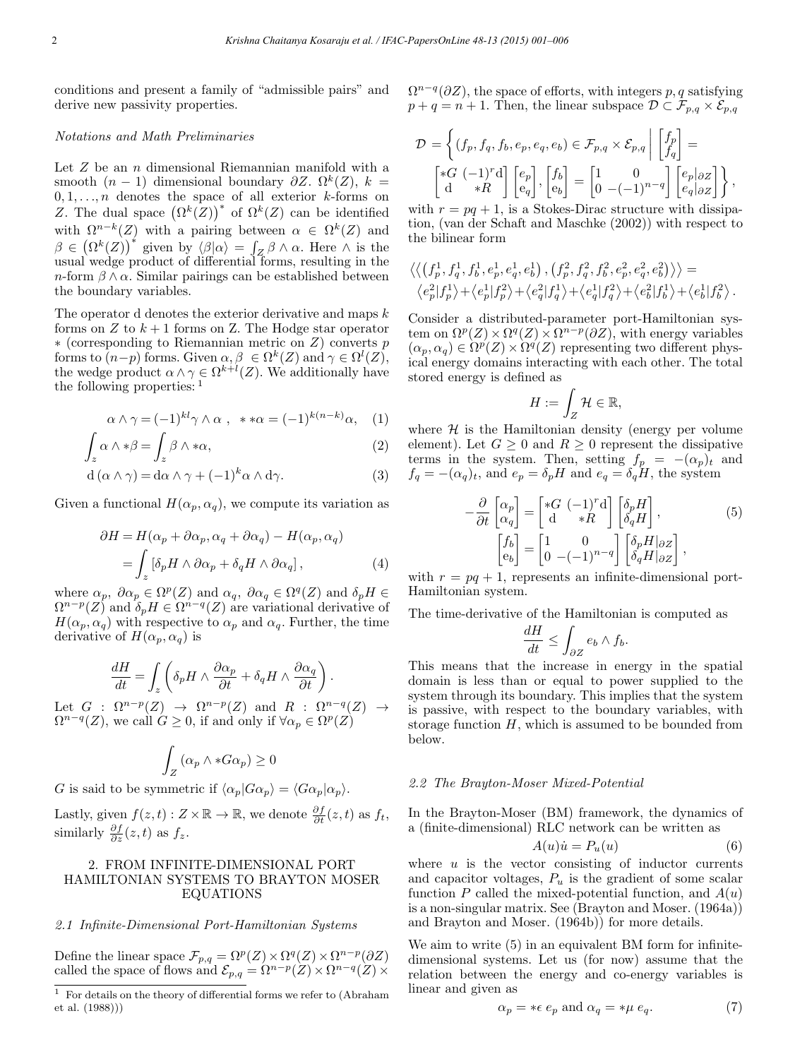conditions and present a family of "admissible pairs" and derive new passivity properties.

### Notations and Math Preliminaries

Let  $Z$  be an  $n$  dimensional Riemannian manifold with a smooth  $(n-1)$  dimensional boundary  $\partial Z$ ,  $\Omega^k(Z)$ ,  $k =$  $0, 1, \ldots, n$  denotes the space of all exterior k-forms on Z. The dual space  $(\Omega^k(Z))^*$  of  $\Omega^k(Z)$  can be identified with  $\Omega^{n-k}(Z)$  with a pairing between  $\alpha \in \Omega^k(Z)$  and  $\beta \in (\Omega^k(Z))^*$  given by  $\langle \beta | \alpha \rangle = \int_Z \beta \wedge \alpha$ . Here  $\wedge$  is the usual wedge product of differential forms, resulting in the  $n$ -form  $\beta \wedge \alpha$ . Similar pairings can be established between the boundary variables.

The operator d denotes the exterior derivative and maps k forms on Z to  $k+1$  forms on Z. The Hodge star operator ∗ (corresponding to Riemannian metric on Z) converts p forms to  $(n-p)$  forms. Given  $\alpha, \beta \in \Omega^k(Z)$  and  $\gamma \in \Omega^l(Z)$ , the wedge product  $\alpha \wedge \gamma \in \Omega^{k+l}(Z)$ . We additionally have the following properties: <sup>1</sup>

$$
\alpha \wedge \gamma = (-1)^{kl} \gamma \wedge \alpha , \quad * \ast \alpha = (-1)^{k(n-k)} \alpha, \quad (1)
$$

$$
\int_{z} \alpha \wedge * \beta = \int_{z} \beta \wedge * \alpha,
$$
\n(2)

$$
d(\alpha \wedge \gamma) = d\alpha \wedge \gamma + (-1)^k \alpha \wedge d\gamma.
$$
 (3)

Given a functional  $H(\alpha_p, \alpha_q)$ , we compute its variation as

$$
\partial H = H(\alpha_p + \partial \alpha_p, \alpha_q + \partial \alpha_q) - H(\alpha_p, \alpha_q)
$$
  
= 
$$
\int_z [\delta_p H \wedge \partial \alpha_p + \delta_q H \wedge \partial \alpha_q],
$$
 (4)

where  $\alpha_p$ ,  $\partial \alpha_p \in \Omega^p(Z)$  and  $\alpha_q$ ,  $\partial \alpha_q \in \Omega^q(Z)$  and  $\delta_p H \in$  $\Omega^{n-p}(Z)$  and  $\delta_p H \in \Omega^{n-q}(Z)$  are variational derivative of  $H(\alpha_p, \alpha_q)$  with respective to  $\alpha_p$  and  $\alpha_q$ . Further, the time derivative of  $H(\alpha_p, \alpha_q)$  is

$$
\frac{dH}{dt} = \int_z \left( \delta_p H \wedge \frac{\partial \alpha_p}{\partial t} + \delta_q H \wedge \frac{\partial \alpha_q}{\partial t} \right).
$$

Let  $G : \Omega^{n-p}(Z) \rightarrow \Omega^{n-p}(Z)$  and  $R : \Omega^{n-q}(Z) \rightarrow$  $\Omega^{n-q}(Z)$ , we call  $G \geq 0$ , if and only if  $\forall \alpha_p \in \Omega^p(Z)$ 

$$
\int_Z \left(\alpha_p \wedge *G\alpha_p\right) \ge 0
$$

G is said to be symmetric if  $\langle \alpha_p | G \alpha_p \rangle = \langle G \alpha_p | \alpha_p \rangle$ .

Lastly, given  $f(z,t): Z \times \mathbb{R} \to \mathbb{R}$ , we denote  $\frac{\partial f}{\partial t}(z,t)$  as  $f_t$ , similarly  $\frac{\partial f}{\partial z}(z,t)$  as  $f_z$ .

## 2. FROM INFINITE-DIMENSIONAL PORT HAMILTONIAN SYSTEMS TO BRAYTON MOSER EQUATIONS

### 2.1 Infinite-Dimensional Port-Hamiltonian Systems

Define the linear space  $\mathcal{F}_{p,q} = \Omega^p(Z) \times \Omega^q(Z) \times \Omega^{n-p}(\partial Z)$ called the space of flows and  $\mathcal{E}_{p,q} = \Omega^{n-p}(Z) \times \Omega^{n-q}(Z) \times$   $\Omega^{n-q}(\partial Z)$ , the space of efforts, with integers p, q satisfying  $p + q = n + 1$ . Then, the linear subspace  $\mathcal{D} \subset \mathcal{F}_{p,q} \times \mathcal{E}_{p,q}$ 

$$
\mathcal{D} = \left\{ (f_p, f_q, f_b, e_p, e_q, e_b) \in \mathcal{F}_{p,q} \times \mathcal{E}_{p,q} \middle| \begin{bmatrix} f_p \\ f_q \end{bmatrix} = \begin{bmatrix} *G & (-1)^r \mathbf{d} \\ \mathbf{d} & *R \end{bmatrix} \begin{bmatrix} e_p \\ e_q \end{bmatrix}, \begin{bmatrix} f_b \\ e_b \end{bmatrix} = \begin{bmatrix} 1 & 0 \\ 0 & -(-1)^{n-q} \end{bmatrix} \begin{bmatrix} e_p | \partial z \\ e_q | \partial z \end{bmatrix} \right\},\right\}
$$

with  $r = pq + 1$ , is a Stokes-Dirac structure with dissipation, (van der Schaft and Maschke (2002)) with respect to the bilinear form

$$
\begin{split} & \left\langle \left\langle \left(f_p^1, f_q^1, f_b^1, e_p^1, e_q^1, e_b^1\right), \left(f_p^2, f_q^2, f_b^2, e_p^2, e_q^2, e_b^2\right)\right\rangle \right\rangle = \\ & \left\langle e_p^2 |f_p^1\rangle + \left\langle e_p^1 |f_p^2\rangle + \left\langle e_q^2 |f_q^1\right\rangle + \left\langle e_q^1 |f_q^2\right\rangle + \left\langle e_b^2 |f_b^1\right\rangle + \left\langle e_b^1 |f_b^2\right\rangle. \end{split}
$$

Consider a distributed-parameter port-Hamiltonian system on  $\Omega^p(Z) \times \Omega^q(Z) \times \Omega^{n-p}(\partial Z)$ , with energy variables  $(\alpha_p, \alpha_q) \in \Omega^p(Z) \times \Omega^q(Z)$  representing two different physical energy domains interacting with each other. The total stored energy is defined as

$$
H:=\int_Z \mathcal{H} \in \mathbb{R},
$$

where  $\mathcal H$  is the Hamiltonian density (energy per volume element). Let  $G \geq 0$  and  $R \geq 0$  represent the dissipative terms in the system. Then, setting  $f_p = -(\alpha_p)_t$  and  $f_q = -(\alpha_q)_t$ , and  $e_p = \delta_p H$  and  $e_q = \delta_q H$ , the system

$$
-\frac{\partial}{\partial t} \begin{bmatrix} \alpha_p \\ \alpha_q \end{bmatrix} = \begin{bmatrix} *G & (-1)^r \mathrm{d} \\ \mathrm{d} & *R \end{bmatrix} \begin{bmatrix} \delta_p H \\ \delta_q H \end{bmatrix},
$$
(5)  

$$
\begin{bmatrix} f_b \\ e_b \end{bmatrix} = \begin{bmatrix} 1 & 0 \\ 0 & (-1)^{n-q} \end{bmatrix} \begin{bmatrix} \delta_p H | \partial z \\ \delta_q H | \partial z \end{bmatrix},
$$

with  $r = pq + 1$ , represents an infinite-dimensional port-Hamiltonian system.

The time-derivative of the Hamiltonian is computed as

$$
\frac{dH}{dt} \le \int_{\partial Z} e_b \wedge f_b.
$$

This means that the increase in energy in the spatial domain is less than or equal to power supplied to the system through its boundary. This implies that the system is passive, with respect to the boundary variables, with storage function  $H$ , which is assumed to be bounded from below.

#### 2.2 The Brayton-Moser Mixed-Potential

In the Brayton-Moser (BM) framework, the dynamics of a (finite-dimensional) RLC network can be written as

$$
A(u)\dot{u} = P_u(u) \tag{6}
$$

where  $u$  is the vector consisting of inductor currents and capacitor voltages,  $P_u$  is the gradient of some scalar function  $P$  called the mixed-potential function, and  $A(u)$ is a non-singular matrix. See (Brayton and Moser. (1964a)) and Brayton and Moser. (1964b)) for more details.

We aim to write  $(5)$  in an equivalent BM form for infinitedimensional systems. Let us (for now) assume that the relation between the energy and co-energy variables is linear and given as

$$
\alpha_p = * \epsilon \, e_p \text{ and } \alpha_q = * \mu \, e_q. \tag{7}
$$

 $1$  For details on the theory of differential forms we refer to (Abraham et al. (1988)))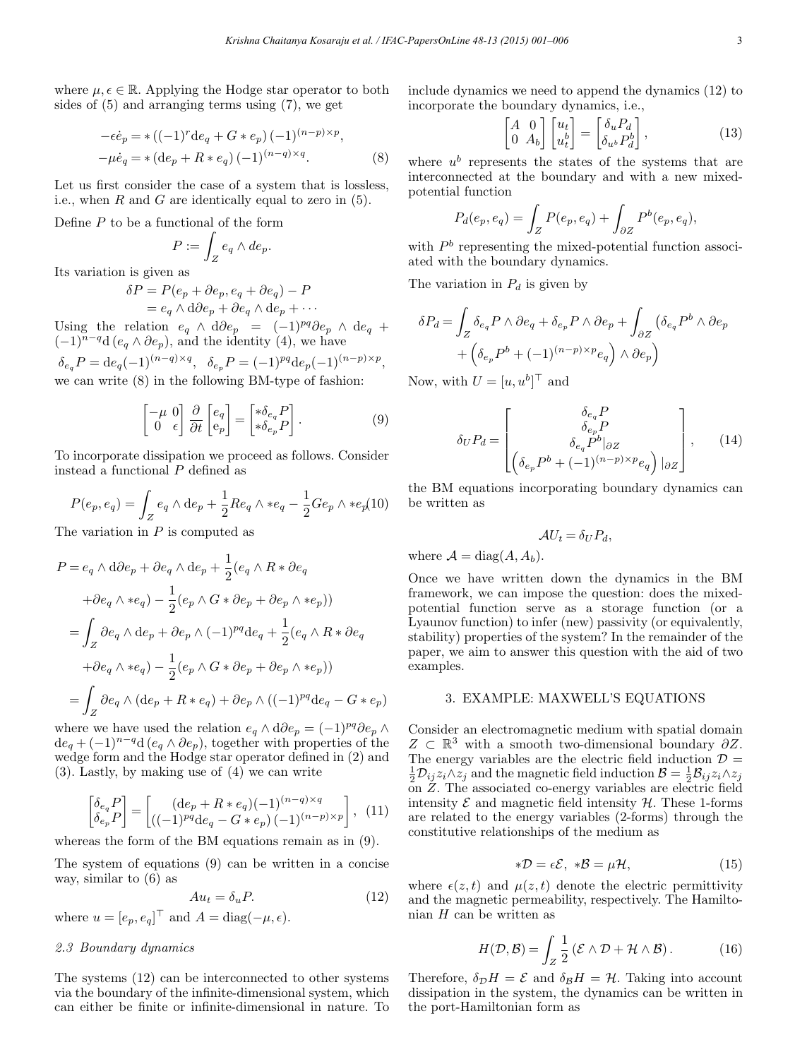where  $\mu, \epsilon \in \mathbb{R}$ . Applying the Hodge star operator to both sides of (5) and arranging terms using (7), we get

$$
-\epsilon \dot{e}_p = * ((-1)^r \mathrm{d}e_q + G * e_p) (-1)^{(n-p) \times p}, -\mu \dot{e}_q = * (\mathrm{d}e_p + R * e_q) (-1)^{(n-q) \times q}.
$$
 (8)

Let us first consider the case of a system that is lossless, i.e., when  $R$  and  $G$  are identically equal to zero in (5).

Define  $P$  to be a functional of the form

$$
P:=\int_Z e_q\wedge de_p.
$$

Its variation is given as

$$
\delta P = P(e_p + \partial e_p, e_q + \partial e_q) - P
$$
  
=  $e_q \wedge d\partial e_p + \partial e_q \wedge d e_p + \cdots$ 

Using the relation  $e_q \wedge d\partial e_p = (-1)^{pq} \partial e_p \wedge d e_q + (-1)^{p+q} \partial e_p$  $(-1)^{n-q}d(e_q \wedge \partial e_p)$ , and the identity (4), we have

 $\delta_{e_q}P=\mathrm{d}e_q(-1)^{(n-q)\times q},~~\delta_{e_p}P=(-1)^{pq}\mathrm{d}e_p(-1)^{(n-p)\times p},$ we can write (8) in the following BM-type of fashion:

$$
\begin{bmatrix} -\mu & 0 \\ 0 & \epsilon \end{bmatrix} \frac{\partial}{\partial t} \begin{bmatrix} e_q \\ e_p \end{bmatrix} = \begin{bmatrix} * \delta_{e_q} P \\ * \delta_{e_p} P \end{bmatrix} . \tag{9}
$$

To incorporate dissipation we proceed as follows. Consider instead a functional P defined as

$$
P(e_p,e_q) = \int_Z e_q \wedge \mathrm{d} e_p + \frac{1}{2} Re_q \wedge * e_q - \frac{1}{2} Ge_p \wedge * e_p(10)
$$

The variation in  $P$  is computed as

$$
P = e_q \wedge d\partial e_p + \partial e_q \wedge de_p + \frac{1}{2} (e_q \wedge R * \partial e_q
$$
  
+  $\partial e_q \wedge * e_q$ ) -  $\frac{1}{2} (e_p \wedge G * \partial e_p + \partial e_p \wedge * e_p)$   
=  $\int_Z \partial e_q \wedge de_p + \partial e_p \wedge (-1)^{pq} de_q + \frac{1}{2} (e_q \wedge R * \partial e_q$   
+  $\partial e_q \wedge * e_q$ ) -  $\frac{1}{2} (e_p \wedge G * \partial e_p + \partial e_p \wedge * e_p)$   
=  $\int_Z \partial e_q \wedge (de_p + R * e_q) + \partial e_p \wedge ((-1)^{pq} de_q - G * e_p)$ 

where we have used the relation  $e_q \wedge d\partial e_p = (-1)^{pq} \partial e_p \wedge$  $de_q + (-1)^{n-q}d(e_q \wedge \partial e_p)$ , together with properties of the wedge form and the Hodge star operator defined in (2) and (3). Lastly, by making use of (4) we can write

$$
\begin{bmatrix} \delta_{e_q} P \\ \delta_{e_p} P \end{bmatrix} = \begin{bmatrix} (de_p + R * e_q)(-1)^{(n-q)\times q} \\ ((-1)^{pq}de_q - G * e_p)(-1)^{(n-p)\times p} \end{bmatrix}, (11)
$$

whereas the form of the BM equations remain as in (9).

The system of equations (9) can be written in a concise way, similar to (6) as

$$
Au_t = \delta_u P. \tag{12}
$$

where  $u = [e_p, e_q]$ <sup> $\perp$ </sup> and  $A = \text{diag}(-\mu, \epsilon)$ .

## 2.3 Boundary dynamics

The systems (12) can be interconnected to other systems via the boundary of the infinite-dimensional system, which can either be finite or infinite-dimensional in nature. To include dynamics we need to append the dynamics (12) to incorporate the boundary dynamics, i.e.,

$$
\begin{bmatrix} A & 0 \\ 0 & A_b \end{bmatrix} \begin{bmatrix} u_t \\ u_t^b \end{bmatrix} = \begin{bmatrix} \delta_u P_d \\ \delta_{u^b} P_d^b \end{bmatrix},
$$
\n(13)

where  $u^b$  represents the states of the systems that are interconnected at the boundary and with a new mixedpotential function

$$
P_d(e_p, e_q) = \int_Z P(e_p, e_q) + \int_{\partial Z} P^b(e_p, e_q),
$$

with  $P<sup>b</sup>$  representing the mixed-potential function associated with the boundary dynamics.

The variation in  $P_d$  is given by

$$
\delta P_d = \int_Z \delta_{e_q} P \wedge \partial e_q + \delta_{e_p} P \wedge \partial e_p + \int_{\partial Z} (\delta_{e_q} P^b \wedge \partial e_p + (\delta_{e_p} P^b + (-1)^{(n-p)\times p} e_q) \wedge \partial e_p)
$$

Now, with  $U = [u, u^b]^\top$  and

$$
\delta_U P_d = \begin{bmatrix} \delta_{e_q} P \\ \delta_{e_p} P \\ \delta_{e_q} P^b|_{\partial Z} \\ \left( \delta_{e_p} P^b + (-1)^{(n-p)\times p} e_q \right) |_{\partial Z} \end{bmatrix}, \quad (14)
$$

the BM equations incorporating boundary dynamics can be written as

$$
\mathcal{A}U_t = \delta_U P_d,
$$

where  $\mathcal{A} = \text{diag}(A, A_b)$ .

Once we have written down the dynamics in the BM framework, we can impose the question: does the mixedpotential function serve as a storage function (or a Lyaunov function) to infer (new) passivity (or equivalently, stability) properties of the system? In the remainder of the paper, we aim to answer this question with the aid of two examples.

### 3. EXAMPLE: MAXWELL'S EQUATIONS

Consider an electromagnetic medium with spatial domain  $Z \subset \mathbb{R}^3$  with a smooth two-dimensional boundary  $\partial Z$ . The energy variables are the electric field induction  $\mathcal{D} =$  $\frac{1}{2}\mathcal{D}_{ij}z_i\wedge z_j$  and the magnetic field induction  $\mathcal{B}=\frac{1}{2}\mathcal{B}_{ij}z_i\wedge z_j$ on  $Z$ . The associated co-energy variables are electric field intensity  $\mathcal E$  and magnetic field intensity  $\mathcal H$ . These 1-forms are related to the energy variables (2-forms) through the constitutive relationships of the medium as

$$
*\mathcal{D} = \epsilon \mathcal{E}, \ * \mathcal{B} = \mu \mathcal{H}, \tag{15}
$$

where  $\epsilon(z, t)$  and  $\mu(z, t)$  denote the electric permittivity and the magnetic permeability, respectively. The Hamiltonian  $H$  can be written as

$$
H(\mathcal{D}, \mathcal{B}) = \int_{Z} \frac{1}{2} \left( \mathcal{E} \wedge \mathcal{D} + \mathcal{H} \wedge \mathcal{B} \right).
$$
 (16)

Therefore,  $\delta_{\mathcal{D}}H = \mathcal{E}$  and  $\delta_{\mathcal{B}}H = \mathcal{H}$ . Taking into account dissipation in the system, the dynamics can be written in the port-Hamiltonian form as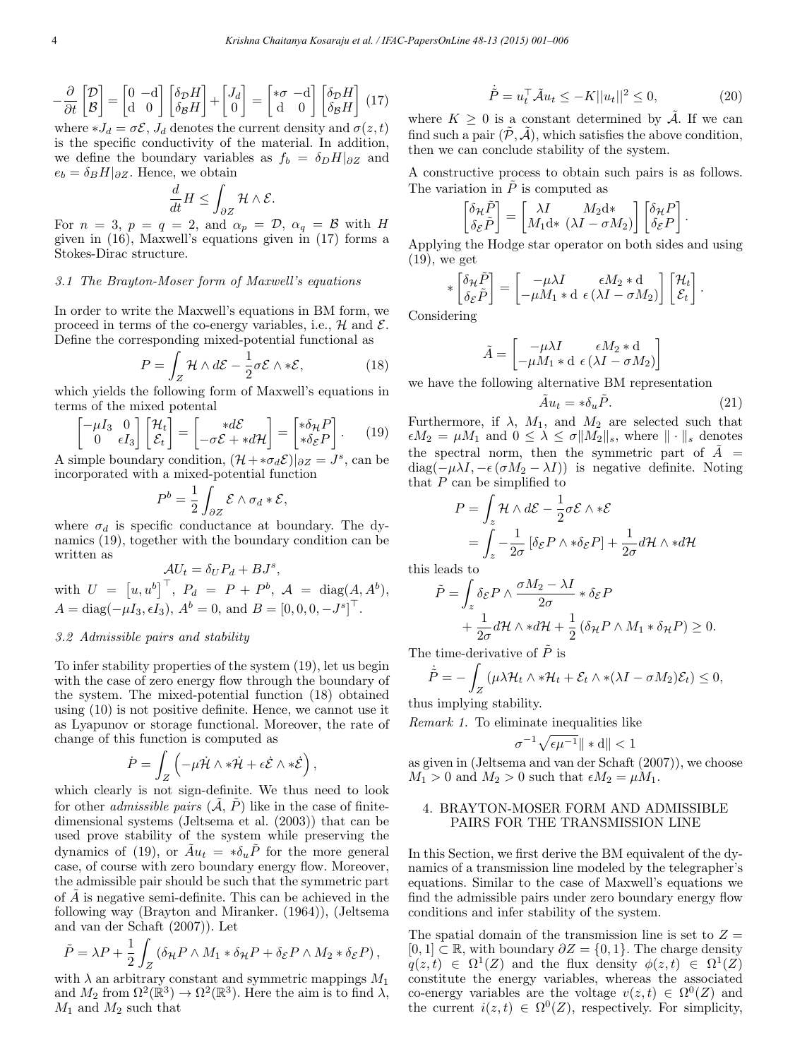$$
-\frac{\partial}{\partial t} \begin{bmatrix} \mathcal{D} \\ \mathcal{B} \end{bmatrix} = \begin{bmatrix} 0 & -\mathbf{d} \\ \mathbf{d} & 0 \end{bmatrix} \begin{bmatrix} \delta_{\mathcal{D}} H \\ \delta_{\mathcal{B}} H \end{bmatrix} + \begin{bmatrix} J_d \\ 0 \end{bmatrix} = \begin{bmatrix} *\sigma & -\mathbf{d} \\ \mathbf{d} & 0 \end{bmatrix} \begin{bmatrix} \delta_{\mathcal{D}} H \\ \delta_{\mathcal{B}} H \end{bmatrix} (17)
$$

where  $*J_d = \sigma \mathcal{E}, J_d$  denotes the current density and  $\sigma(z, t)$ is the specific conductivity of the material. In addition, we define the boundary variables as  $f_b = \delta_D H|_{\partial Z}$  and  $e_b = \delta_B H|_{\partial Z}$ . Hence, we obtain

$$
\frac{d}{dt}H \le \int_{\partial Z} \mathcal{H} \wedge \mathcal{E}.
$$

For  $n = 3$ ,  $p = q = 2$ , and  $\alpha_p = \mathcal{D}$ ,  $\alpha_q = \mathcal{B}$  with H given in (16), Maxwell's equations given in (17) forms a Stokes-Dirac structure.

### 3.1 The Brayton-Moser form of Maxwell's equations

In order to write the Maxwell's equations in BM form, we proceed in terms of the co-energy variables, i.e.,  $\mathcal{H}$  and  $\mathcal{E}$ . Define the corresponding mixed-potential functional as

$$
P = \int_{Z} \mathcal{H} \wedge d\mathcal{E} - \frac{1}{2} \sigma \mathcal{E} \wedge * \mathcal{E}, \qquad (18)
$$

which yields the following form of Maxwell's equations in terms of the mixed potental

$$
\begin{bmatrix} -\mu I_3 & 0 \\ 0 & \epsilon I_3 \end{bmatrix} \begin{bmatrix} \mathcal{H}_t \\ \mathcal{E}_t \end{bmatrix} = \begin{bmatrix} *d\mathcal{E} \\ -\sigma \mathcal{E} + *d\mathcal{H} \end{bmatrix} = \begin{bmatrix} * \delta_{\mathcal{H}} P \\ * \delta_{\mathcal{E}} P \end{bmatrix}.
$$
 (19)

A simple boundary condition,  $(\mathcal{H} + * \sigma_d \mathcal{E})|_{\partial Z} = J^s$ , can be incorporated with a mixed-potential function

$$
P^b = \frac{1}{2} \int_{\partial Z} \mathcal{E} \wedge \sigma_d * \mathcal{E},
$$

where  $\sigma_d$  is specific conductance at boundary. The dynamics (19), together with the boundary condition can be written as

$$
\mathcal{A}U_t = \delta_U P_d + B J^s,
$$
  
with  $U = [u, u^b]^\top$ ,  $P_d = P + P^b$ ,  $\mathcal{A} = \text{diag}(A, A^b)$ ,  
 $A = \text{diag}(-\mu I_3, \epsilon I_3)$ ,  $A^b = 0$ , and  $B = [0, 0, 0, -J^s]^\top$ .

### 3.2 Admissible pairs and stability

To infer stability properties of the system (19), let us begin with the case of zero energy flow through the boundary of the system. The mixed-potential function (18) obtained using (10) is not positive definite. Hence, we cannot use it as Lyapunov or storage functional. Moreover, the rate of change of this function is computed as

$$
\dot{P} = \int_Z \left( -\mu \dot{\mathcal{H}} \wedge * \dot{\mathcal{H}} + \epsilon \dot{\mathcal{E}} \wedge * \dot{\mathcal{E}} \right),
$$

which clearly is not sign-definite. We thus need to look for other *admissible pairs*  $(\tilde{A}, \tilde{P})$  like in the case of finitedimensional systems (Jeltsema et al. (2003)) that can be used prove stability of the system while preserving the dynamics of (19), or  $\tilde{A}u_t = * \delta_u \tilde{P}$  for the more general case, of course with zero boundary energy flow. Moreover, the admissible pair should be such that the symmetric part of  $A$  is negative semi-definite. This can be achieved in the following way (Brayton and Miranker. (1964)), (Jeltsema and van der Schaft (2007)). Let

$$
\tilde{P} = \lambda P + \frac{1}{2} \int_{Z} (\delta_{\mathcal{H}} P \wedge M_1 * \delta_{\mathcal{H}} P + \delta_{\mathcal{E}} P \wedge M_2 * \delta_{\mathcal{E}} P),
$$
  
with  $\lambda$  on arbitrary constant and summation requires  $M$ .

with  $\lambda$  an arbitrary constant and symmetric mappings  $M_1$ and  $M_2$  from  $\Omega^2(\mathbb{R}^3) \to \Omega^2(\mathbb{R}^3)$ . Here the aim is to find  $\lambda$ ,  $M_1$  and  $M_2$  such that

$$
\dot{\tilde{P}} = u_t^{\top} \tilde{\mathcal{A}} u_t \le -K ||u_t||^2 \le 0,
$$
\n(20)

where  $K > 0$  is a constant determined by  $\tilde{A}$ . If we can find such a pair  $(\tilde{\mathcal{P}}, \tilde{\mathcal{A}})$ , which satisfies the above condition, then we can conclude stability of the system.

A constructive process to obtain such pairs is as follows. The variation in  $\tilde{P}$  is computed as

$$
\begin{bmatrix} \delta_{\mathcal{H}} \tilde{P} \\ \delta_{\mathcal{E}} \tilde{P} \end{bmatrix} = \begin{bmatrix} \lambda I & M_2 \mathrm{d} * \\ M_1 \mathrm{d} * (\lambda I - \sigma M_2) \end{bmatrix} \begin{bmatrix} \delta_{\mathcal{H}} P \\ \delta_{\mathcal{E}} P \end{bmatrix}.
$$

Applying the Hodge star operator on both sides and using (19), we get

$$
\ast \begin{bmatrix} \delta_{\mathcal{H}} \tilde{P} \\ \delta_{\mathcal{E}} \tilde{P} \end{bmatrix} = \begin{bmatrix} -\mu \lambda I & \epsilon M_2 * d \\ -\mu M_1 * d & \epsilon ( \lambda I - \sigma M_2 ) \end{bmatrix} \begin{bmatrix} \mathcal{H}_t \\ \mathcal{E}_t \end{bmatrix}.
$$

Considering

$$
\tilde{A} = \begin{bmatrix} -\mu \lambda I & \epsilon M_2 * d \\ -\mu M_1 * d & \epsilon \left(\lambda I - \sigma M_2 \right) \end{bmatrix}
$$

we have the following alternative BM representation

$$
\tilde{A}u_t = * \delta_u \tilde{P}.
$$
\n(21)

Furthermore, if  $\lambda$ ,  $M_1$ , and  $M_2$  are selected such that  $\epsilon M_2 = \mu M_1$  and  $0 \leq \lambda \leq \sigma \|M_2\|_s$ , where  $\|\cdot\|_s$  denotes the spectral norm, then the symmetric part of  $\tilde{A}$  = diag( $-\mu\lambda I, -\epsilon (\sigma M_2 - \lambda I)$ ) is negative definite. Noting that  $P$  can be simplified to

$$
P = \int_{z} \mathcal{H} \wedge d\mathcal{E} - \frac{1}{2} \sigma \mathcal{E} \wedge * \mathcal{E}
$$
  
= 
$$
\int_{z} -\frac{1}{2\sigma} \left[ \delta \varepsilon P \wedge * \delta \varepsilon P \right] + \frac{1}{2\sigma} d\mathcal{H} \wedge * d\mathcal{H}
$$

this leads to

$$
\tilde{P} = \int_{z} \delta_{\mathcal{E}} P \wedge \frac{\sigma M_{2} - \lambda I}{2\sigma} * \delta_{\mathcal{E}} P \n+ \frac{1}{2\sigma} d\mathcal{H} \wedge * d\mathcal{H} + \frac{1}{2} (\delta_{\mathcal{H}} P \wedge M_{1} * \delta_{\mathcal{H}} P) \ge 0.
$$

The time-derivative of  $\tilde{P}$  is

$$
\dot{\tilde{P}} = -\int_{Z} (\mu \lambda \mathcal{H}_t \wedge * \mathcal{H}_t + \mathcal{E}_t \wedge * (\lambda I - \sigma M_2) \mathcal{E}_t) \leq 0,
$$

thus implying stability.

Remark 1. To eliminate inequalities like

$$
\sigma^{-1}\sqrt{\epsilon\mu^{-1}}\|*\mathrm{d}\|<1
$$

as given in (Jeltsema and van der Schaft (2007)), we choose  $M_1 > 0$  and  $M_2 > 0$  such that  $\epsilon M_2 = \mu M_1$ .

### 4. BRAYTON-MOSER FORM AND ADMISSIBLE PAIRS FOR THE TRANSMISSION LINE

In this Section, we first derive the BM equivalent of the dynamics of a transmission line modeled by the telegrapher's equations. Similar to the case of Maxwell's equations we find the admissible pairs under zero boundary energy flow conditions and infer stability of the system.

The spatial domain of the transmission line is set to  $Z =$ [0, 1] ⊂ ℝ, with boundary  $\partial Z = \{0, 1\}$ . The charge density  $q(z, t) \in \Omega^1(Z)$  and the flux density  $\phi(z, t) \in \Omega^1(Z)$ constitute the energy variables, whereas the associated co-energy variables are the voltage  $v(z, t) \in \Omega^0(Z)$  and the current  $i(z, t) \in \Omega^0(Z)$ , respectively. For simplicity,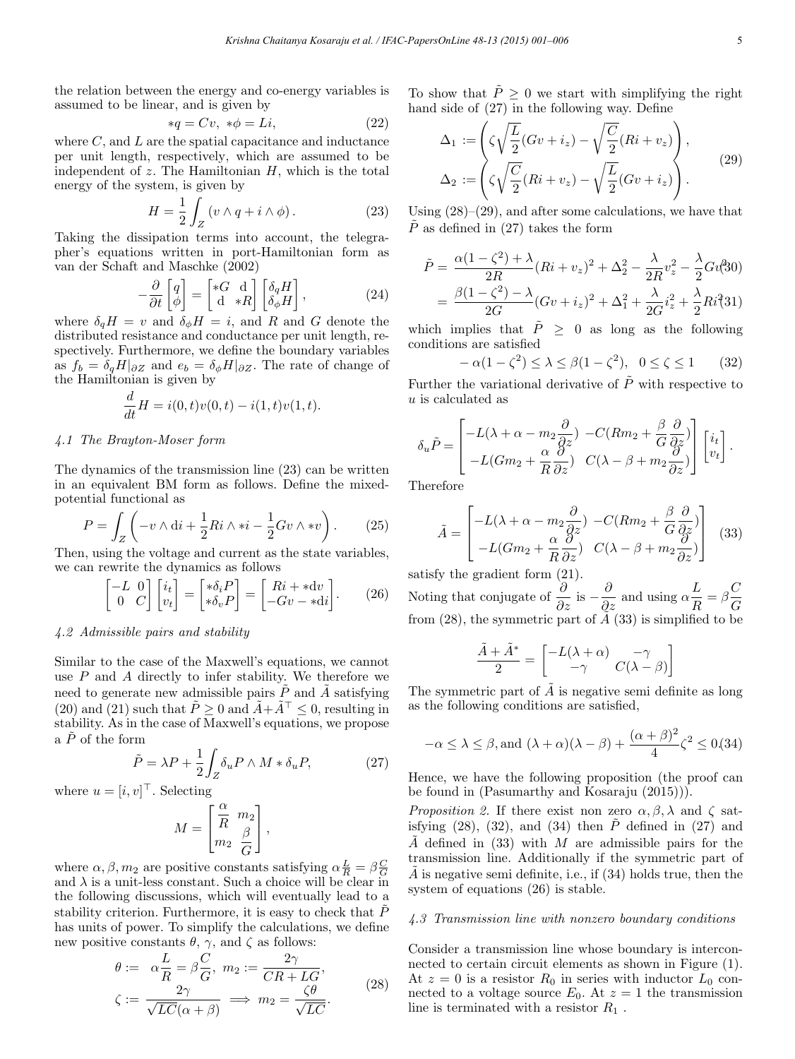the relation between the energy and co-energy variables is assumed to be linear, and is given by

$$
*q = Cv, * \phi = Li,
$$
\n<sup>(22)</sup>

where  $C$ , and  $L$  are the spatial capacitance and inductance per unit length, respectively, which are assumed to be independent of  $z$ . The Hamiltonian  $H$ , which is the total energy of the system, is given by

$$
H = \frac{1}{2} \int_{Z} \left( v \wedge q + i \wedge \phi \right). \tag{23}
$$

Taking the dissipation terms into account, the telegrapher's equations written in port-Hamiltonian form as van der Schaft and Maschke (2002)

$$
-\frac{\partial}{\partial t}\begin{bmatrix} q \\ \phi \end{bmatrix} = \begin{bmatrix} *G & \mathbf{d} \\ \mathbf{d} & *R \end{bmatrix} \begin{bmatrix} \delta_q H \\ \delta_\phi H \end{bmatrix},\tag{24}
$$

where  $\delta_q H = v$  and  $\delta_\phi H = i$ , and R and G denote the distributed resistance and conductance per unit length, respectively. Furthermore, we define the boundary variables as  $f_b = \delta_q H|_{\partial Z}$  and  $e_b = \delta_{\phi} H|_{\partial Z}$ . The rate of change of the Hamiltonian is given by

$$
\frac{d}{dt}H = i(0, t)v(0, t) - i(1, t)v(1, t).
$$

### 4.1 The Brayton-Moser form

The dynamics of the transmission line (23) can be written in an equivalent BM form as follows. Define the mixedpotential functional as

$$
P = \int_{Z} \left( -v \wedge \mathrm{d}i + \frac{1}{2} Ri \wedge *i - \frac{1}{2} Gv \wedge *v \right). \tag{25}
$$

Then, using the voltage and current as the state variables, we can rewrite the dynamics as follows

$$
\begin{bmatrix} -L & 0 \\ 0 & C \end{bmatrix} \begin{bmatrix} i_t \\ v_t \end{bmatrix} = \begin{bmatrix} * \delta_i P \\ * \delta_v P \end{bmatrix} = \begin{bmatrix} Ri + *dv \\ -Gv - *di \end{bmatrix}.
$$
 (26)

#### 4.2 Admissible pairs and stability

Similar to the case of the Maxwell's equations, we cannot use  $P$  and  $A$  directly to infer stability. We therefore we need to generate new admissible pairs  $\tilde{P}$  and  $\tilde{A}$  satisfying (20) and (21) such that  $\tilde{P} > 0$  and  $\tilde{A} + \tilde{A}^{\top} < 0$ , resulting in stability. As in the case of Maxwell's equations, we propose a  $\tilde{P}$  of the form

$$
\tilde{P} = \lambda P + \frac{1}{2} \int_{Z} \delta_{u} P \wedge M * \delta_{u} P, \qquad (27)
$$

where  $u = [i, v]$ <sup> $\perp$ </sup>. Selecting

$$
M = \begin{bmatrix} \dfrac{\alpha}{R} & m_2 \\ m_2 & \dfrac{\beta}{G} \end{bmatrix},
$$

where  $\alpha, \beta, m_2$  are positive constants satisfying  $\alpha \frac{L}{R} = \beta \frac{C}{G}$  and  $\lambda$  is a unit-less constant. Such a choice will be clear in the following discussions, which will eventually lead to a stability criterion. Furthermore, it is easy to check that  $P$ has units of power. To simplify the calculations, we define new positive constants  $\theta$ ,  $\gamma$ , and  $\zeta$  as follows:

$$
\theta := \alpha \frac{L}{R} = \beta \frac{C}{G}, \ m_2 := \frac{2\gamma}{CR + LG},
$$
  

$$
\zeta := \frac{2\gamma}{\sqrt{LC}(\alpha + \beta)} \implies m_2 = \frac{\zeta \theta}{\sqrt{LC}}.
$$
 (28)

To show that  $\tilde{P} \geq 0$  we start with simplifying the right hand side of (27) in the following way. Define

$$
\Delta_1 := \left(\zeta \sqrt{\frac{L}{2}} (Gv + i_z) - \sqrt{\frac{C}{2}} (Ri + v_z)\right),
$$
  

$$
\Delta_2 := \left(\zeta \sqrt{\frac{C}{2}} (Ri + v_z) - \sqrt{\frac{L}{2}} (Gv + i_z)\right).
$$
 (29)

Using  $(28)$ – $(29)$ , and after some calculations, we have that  $\hat{P}$  as defined in (27) takes the form

$$
\tilde{P} = \frac{\alpha(1 - \zeta^2) + \lambda}{2R} (Ri + v_z)^2 + \Delta_z^2 - \frac{\lambda}{2R} v_z^2 - \frac{\lambda}{2} G u_{30}^2)
$$
  
= 
$$
\frac{\beta(1 - \zeta^2) - \lambda}{2G} (Gv + i_z)^2 + \Delta_1^2 + \frac{\lambda}{2G} i_z^2 + \frac{\lambda}{2} Ri_{31}^2
$$

which implies that  $\tilde{P} \geq 0$  as long as the following conditions are satisfied

$$
-\alpha(1-\zeta^2) \le \lambda \le \beta(1-\zeta^2), \quad 0 \le \zeta \le 1 \tag{32}
$$

Further the variational derivative of  $P$  with respective to u is calculated as

$$
\delta_u \tilde{P} = \begin{bmatrix} -L(\lambda + \alpha - m_2 \frac{\partial}{\partial z}) & -C(Rm_2 + \frac{\beta}{G} \frac{\partial}{\partial z}) \\ -L(Gm_2 + \frac{\alpha}{R} \frac{\partial}{\partial z}) & C(\lambda - \beta + m_2 \frac{\partial}{\partial z}) \end{bmatrix} \begin{bmatrix} i_t \\ v_t \end{bmatrix}.
$$

Therefore

$$
\tilde{A} = \begin{bmatrix} -L(\lambda + \alpha - m_2 \frac{\partial}{\partial z}) & -C(Rm_2 + \frac{\beta}{G} \frac{\partial}{\partial z}) \\ -L(Gm_2 + \frac{\alpha}{R} \frac{\partial}{\partial z}) & C(\lambda - \beta + m_2 \frac{\partial}{\partial z}) \end{bmatrix}
$$
(33)

satisfy the gradient form (21).

Noting that conjugate of  $\frac{\partial}{\partial z}$  is  $-\frac{\partial}{\partial z}$  and using  $\alpha \frac{L}{R} = \beta \frac{C}{G}$ from  $(28)$ , the symmetric part of  $A(33)$  is simplified to be

$$
\frac{\tilde{A} + \tilde{A}^*}{2} = \begin{bmatrix} -L(\lambda + \alpha) & -\gamma \\ -\gamma & C(\lambda - \beta) \end{bmatrix}
$$

The symmetric part of  $\tilde{A}$  is negative semi definite as long as the following conditions are satisfied,

$$
-\alpha \le \lambda \le \beta, \text{and } (\lambda + \alpha)(\lambda - \beta) + \frac{(\alpha + \beta)^2}{4} \zeta^2 \le 0.34
$$

Hence, we have the following proposition (the proof can be found in (Pasumarthy and Kosaraju (2015))).

*Proposition 2.* If there exist non zero  $\alpha, \beta, \lambda$  and  $\zeta$  satisfying (28), (32), and (34) then  $\tilde{P}$  defined in (27) and  $\tilde{A}$  defined in (33) with M are admissible pairs for the transmission line. Additionally if the symmetric part of A is negative semi definite, i.e., if  $(34)$  holds true, then the system of equations (26) is stable.

### 4.3 Transmission line with nonzero boundary conditions

Consider a transmission line whose boundary is interconnected to certain circuit elements as shown in Figure (1). At  $z = 0$  is a resistor  $R_0$  in series with inductor  $L_0$  connected to a voltage source  $E_0$ . At  $z = 1$  the transmission line is terminated with a resistor  $R_1$ .